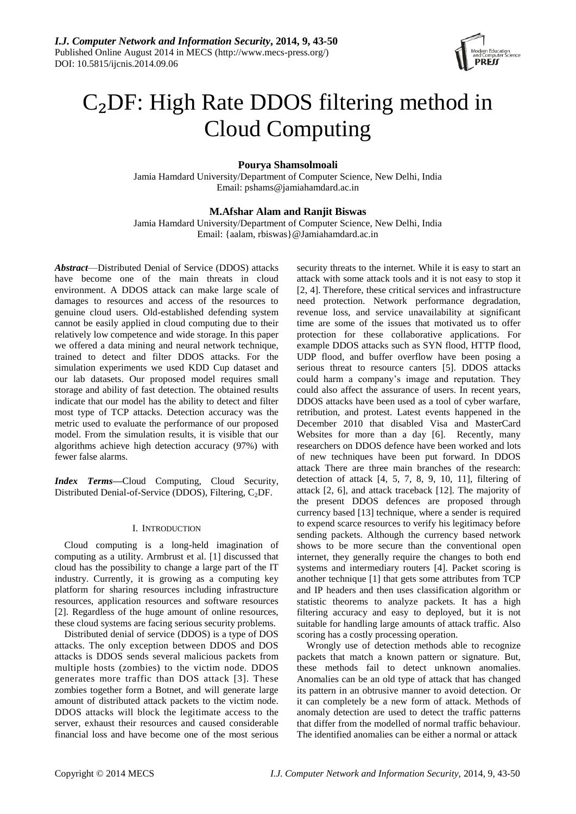

# C₂DF: High Rate DDOS filtering method in Cloud Computing

# **Pourya Shamsolmoali**

Jamia Hamdard University/Department of Computer Science, New Delhi, India Email: pshams@jamiahamdard.ac.in

## **M.Afshar Alam and Ranjit Biswas**

Jamia Hamdard University/Department of Computer Science, New Delhi, India Email: {aalam, rbiswas}@Jamiahamdard.ac.in

*Abstract*—Distributed Denial of Service (DDOS) attacks have become one of the main threats in cloud environment. A DDOS attack can make large scale of damages to resources and access of the resources to genuine cloud users. Old-established defending system cannot be easily applied in cloud computing due to their relatively low competence and wide storage. In this paper we offered a data mining and neural network technique, trained to detect and filter DDOS attacks. For the simulation experiments we used KDD Cup dataset and our lab datasets. Our proposed model requires small storage and ability of fast detection. The obtained results indicate that our model has the ability to detect and filter most type of TCP attacks. Detection accuracy was the metric used to evaluate the performance of our proposed model. From the simulation results, it is visible that our algorithms achieve high detection accuracy (97%) with fewer false alarms.

*Index Terms***—**Cloud Computing, Cloud Security, Distributed Denial-of-Service (DDOS), Filtering,  $C_2DF$ .

## I. INTRODUCTION

Cloud computing is a long-held imagination of computing as a utility. Armbrust et al. [1] discussed that cloud has the possibility to change a large part of the IT industry. Currently, it is growing as a computing key platform for sharing resources including infrastructure resources, application resources and software resources [2]. Regardless of the huge amount of online resources, these cloud systems are facing serious security problems.

Distributed denial of service (DDOS) is a type of DOS attacks. The only exception between DDOS and DOS attacks is DDOS sends several malicious packets from multiple hosts (zombies) to the victim node. DDOS generates more traffic than DOS attack [3]. These zombies together form a Botnet, and will generate large amount of distributed attack packets to the victim node. DDOS attacks will block the legitimate access to the server, exhaust their resources and caused considerable financial loss and have become one of the most serious

security threats to the internet. While it is easy to start an attack with some attack tools and it is not easy to stop it [2, 4]. Therefore, these critical services and infrastructure need protection. Network performance degradation, revenue loss, and service unavailability at significant time are some of the issues that motivated us to offer protection for these collaborative applications. For example DDOS attacks such as SYN flood, HTTP flood, UDP flood, and buffer overflow have been posing a serious threat to resource canters [5]. DDOS attacks could harm a company's image and reputation. They could also affect the assurance of users. In recent years, DDOS attacks have been used as a tool of cyber warfare, retribution, and protest. Latest events happened in the December 2010 that disabled Visa and MasterCard Websites for more than a day [6]. Recently, many researchers on DDOS defence have been worked and lots of new techniques have been put forward. In DDOS attack There are three main branches of the research: detection of attack [4, 5, 7, 8, 9, 10, 11], filtering of attack [2, 6], and attack traceback [12]. The majority of the present DDOS defences are proposed through currency based [13] technique, where a sender is required to expend scarce resources to verify his legitimacy before sending packets. Although the currency based network shows to be more secure than the conventional open internet, they generally require the changes to both end systems and intermediary routers [4]. Packet scoring is another technique [1] that gets some attributes from TCP and IP headers and then uses classification algorithm or statistic theorems to analyze packets. It has a high filtering accuracy and easy to deployed, but it is not suitable for handling large amounts of attack traffic. Also scoring has a costly processing operation.

Wrongly use of detection methods able to recognize packets that match a known pattern or signature. But, these methods fail to detect unknown anomalies. Anomalies can be an old type of attack that has changed its pattern in an obtrusive manner to avoid detection. Or it can completely be a new form of attack. Methods of anomaly detection are used to detect the traffic patterns that differ from the modelled of normal traffic behaviour. The identified anomalies can be either a normal or attack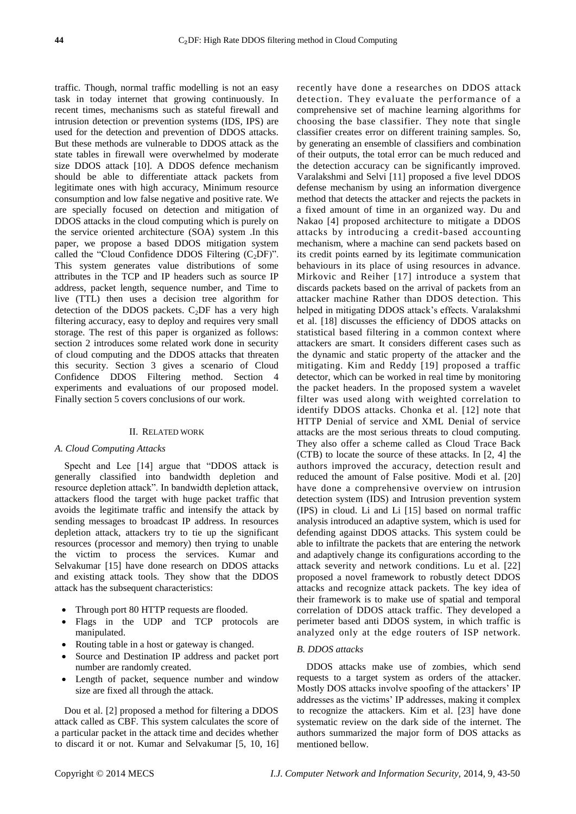traffic. Though, normal traffic modelling is not an easy task in today internet that growing continuously. In recent times, mechanisms such as stateful firewall and intrusion detection or prevention systems (IDS, IPS) are used for the detection and prevention of DDOS attacks. But these methods are vulnerable to DDOS attack as the state tables in firewall were overwhelmed by moderate size DDOS attack [10]. A DDOS defence mechanism should be able to differentiate attack packets from legitimate ones with high accuracy, Minimum resource consumption and low false negative and positive rate. We are specially focused on detection and mitigation of DDOS attacks in the cloud computing which is purely on the service oriented architecture (SOA) system .In this paper, we propose a based DDOS mitigation system called the "Cloud Confidence DDOS Filtering  $(C<sub>2</sub>DF)$ ". This system generates value distributions of some attributes in the TCP and IP headers such as source IP address, packet length, sequence number, and Time to live (TTL) then uses a decision tree algorithm for detection of the DDOS packets.  $C_2$ DF has a very high filtering accuracy, easy to deploy and requires very small storage. The rest of this paper is organized as follows: section 2 introduces some related work done in security of cloud computing and the DDOS attacks that threaten this security. Section 3 gives a scenario of Cloud Confidence DDOS Filtering method. Section 4 experiments and evaluations of our proposed model. Finally section 5 covers conclusions of our work.

#### II. RELATED WORK

#### *A. Cloud Computing Attacks*

Specht and Lee  $[14]$  argue that "DDOS attack is generally classified into bandwidth depletion and resource depletion attack". In bandwidth depletion attack, attackers flood the target with huge packet traffic that avoids the legitimate traffic and intensify the attack by sending messages to broadcast IP address. In resources depletion attack, attackers try to tie up the significant resources (processor and memory) then trying to unable the victim to process the services. Kumar and Selvakumar [15] have done research on DDOS attacks and existing attack tools. They show that the DDOS attack has the subsequent characteristics:

- Through port 80 HTTP requests are flooded.
- Flags in the UDP and TCP protocols are manipulated.
- Routing table in a host or gateway is changed.
- Source and Destination IP address and packet port number are randomly created.
- Length of packet, sequence number and window size are fixed all through the attack.

Dou et al. [2] proposed a method for filtering a DDOS attack called as CBF. This system calculates the score of a particular packet in the attack time and decides whether to discard it or not. Kumar and Selvakumar [5, 10, 16] recently have done a researches on DDOS attack detection. They evaluate the performance of a comprehensive set of machine learning algorithms for choosing the base classifier. They note that single classifier creates error on different training samples. So, by generating an ensemble of classifiers and combination of their outputs, the total error can be much reduced and the detection accuracy can be significantly improved. Varalakshmi and Selvi [11] proposed a five level DDOS defense mechanism by using an information divergence method that detects the attacker and rejects the packets in a fixed amount of time in an organized way. Du and Nakao [4] proposed architecture to mitigate a DDOS attacks by introducing a credit-based accounting mechanism, where a machine can send packets based on its credit points earned by its legitimate communication behaviours in its place of using resources in advance. Mirkovic and Reiher [17] introduce a system that discards packets based on the arrival of packets from an attacker machine Rather than DDOS detection. This helped in mitigating DDOS attack's effects. Varalakshmi et al. [18] discusses the efficiency of DDOS attacks on statistical based filtering in a common context where attackers are smart. It considers different cases such as the dynamic and static property of the attacker and the mitigating. Kim and Reddy [19] proposed a traffic detector, which can be worked in real time by monitoring the packet headers. In the proposed system a wavelet filter was used along with weighted correlation to identify DDOS attacks. Chonka et al. [12] note that HTTP Denial of service and XML Denial of service attacks are the most serious threats to cloud computing. They also offer a scheme called as Cloud Trace Back (CTB) to locate the source of these attacks. In [2, 4] the authors improved the accuracy, detection result and reduced the amount of False positive. Modi et al. [20] have done a comprehensive overview on intrusion detection system (IDS) and Intrusion prevention system (IPS) in cloud. Li and Li [15] based on normal traffic analysis introduced an adaptive system, which is used for defending against DDOS attacks. This system could be able to infiltrate the packets that are entering the network and adaptively change its configurations according to the attack severity and network conditions. Lu et al. [22] proposed a novel framework to robustly detect DDOS attacks and recognize attack packets. The key idea of their framework is to make use of spatial and temporal correlation of DDOS attack traffic. They developed a perimeter based anti DDOS system, in which traffic is analyzed only at the edge routers of ISP network.

## *B. DDOS attacks*

DDOS attacks make use of zombies, which send requests to a target system as orders of the attacker. Mostly DOS attacks involve spoofing of the attackers' IP addresses as the victims' IP addresses, making it complex to recognize the attackers. Kim et al. [23] have done systematic review on the dark side of the internet. The authors summarized the major form of DOS attacks as mentioned bellow.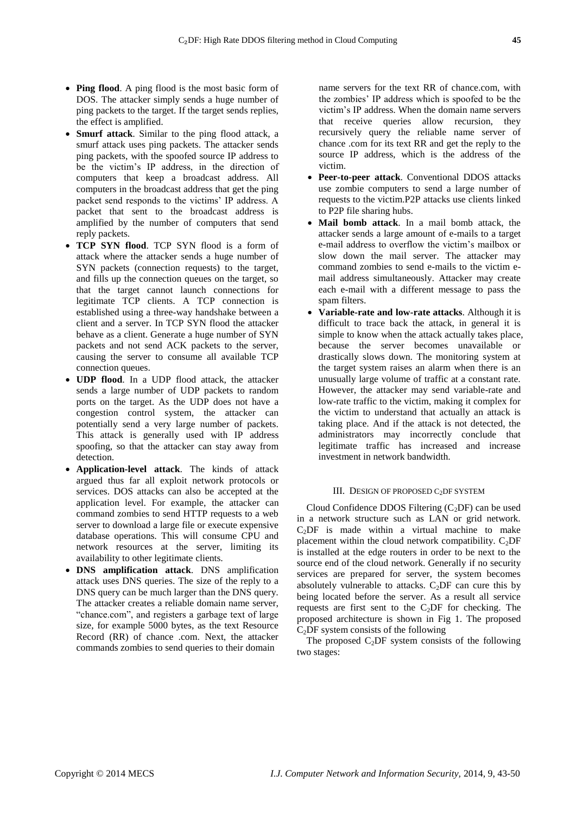- **Ping flood**. A ping flood is the most basic form of DOS. The attacker simply sends a huge number of ping packets to the target. If the target sends replies, the effect is amplified.
- **Smurf attack**. Similar to the ping flood attack, a smurf attack uses ping packets. The attacker sends ping packets, with the spoofed source IP address to be the victim's IP address, in the direction of computers that keep a broadcast address. All computers in the broadcast address that get the ping packet send responds to the victims' IP address. A packet that sent to the broadcast address is amplified by the number of computers that send reply packets.
- **TCP SYN flood**. TCP SYN flood is a form of attack where the attacker sends a huge number of SYN packets (connection requests) to the target, and fills up the connection queues on the target, so that the target cannot launch connections for legitimate TCP clients. A TCP connection is established using a three-way handshake between a client and a server. In TCP SYN flood the attacker behave as a client. Generate a huge number of SYN packets and not send ACK packets to the server, causing the server to consume all available TCP connection queues.
- **UDP flood**. In a UDP flood attack, the attacker sends a large number of UDP packets to random ports on the target. As the UDP does not have a congestion control system, the attacker can potentially send a very large number of packets. This attack is generally used with IP address spoofing, so that the attacker can stay away from detection.
- **Application-level attack**. The kinds of attack argued thus far all exploit network protocols or services. DOS attacks can also be accepted at the application level. For example, the attacker can command zombies to send HTTP requests to a web server to download a large file or execute expensive database operations. This will consume CPU and network resources at the server, limiting its availability to other legitimate clients.
- **DNS amplification attack**. DNS amplification attack uses DNS queries. The size of the reply to a DNS query can be much larger than the DNS query. The attacker creates a reliable domain name server, "chance.com", and registers a garbage text of large size, for example 5000 bytes, as the text Resource Record (RR) of chance .com. Next, the attacker commands zombies to send queries to their domain

name servers for the text RR of chance.com, with the zombies' IP address which is spoofed to be the victim's IP address. When the domain name servers that receive queries allow recursion, they recursively query the reliable name server of chance .com for its text RR and get the reply to the source IP address, which is the address of the victim.

- **Peer-to-peer attack**. Conventional DDOS attacks use zombie computers to send a large number of requests to the victim.P2P attacks use clients linked to P2P file sharing hubs.
- **Mail bomb attack**. In a mail bomb attack, the attacker sends a large amount of e-mails to a target e-mail address to overflow the victim's mailbox or slow down the mail server. The attacker may command zombies to send e-mails to the victim email address simultaneously. Attacker may create each e-mail with a different message to pass the spam filters.
- **Variable-rate and low-rate attacks**. Although it is difficult to trace back the attack, in general it is simple to know when the attack actually takes place, because the server becomes unavailable or drastically slows down. The monitoring system at the target system raises an alarm when there is an unusually large volume of traffic at a constant rate. However, the attacker may send variable-rate and low-rate traffic to the victim, making it complex for the victim to understand that actually an attack is taking place. And if the attack is not detected, the administrators may incorrectly conclude that legitimate traffic has increased and increase investment in network bandwidth.

## III. DESIGN OF PROPOSED C<sub>2</sub>DF SYSTEM

Cloud Confidence DDOS Filtering  $(C<sub>2</sub>DF)$  can be used in a network structure such as LAN or grid network.  $C<sub>2</sub>DF$  is made within a virtual machine to make placement within the cloud network compatibility.  $C_2DF$ is installed at the edge routers in order to be next to the source end of the cloud network. Generally if no security services are prepared for server, the system becomes absolutely vulnerable to attacks.  $C_2DF$  can cure this by being located before the server. As a result all service requests are first sent to the  $C_2DF$  for checking. The proposed architecture is shown in Fig 1. The proposed  $C<sub>2</sub>DF$  system consists of the following

The proposed  $C_2$ DF system consists of the following two stages: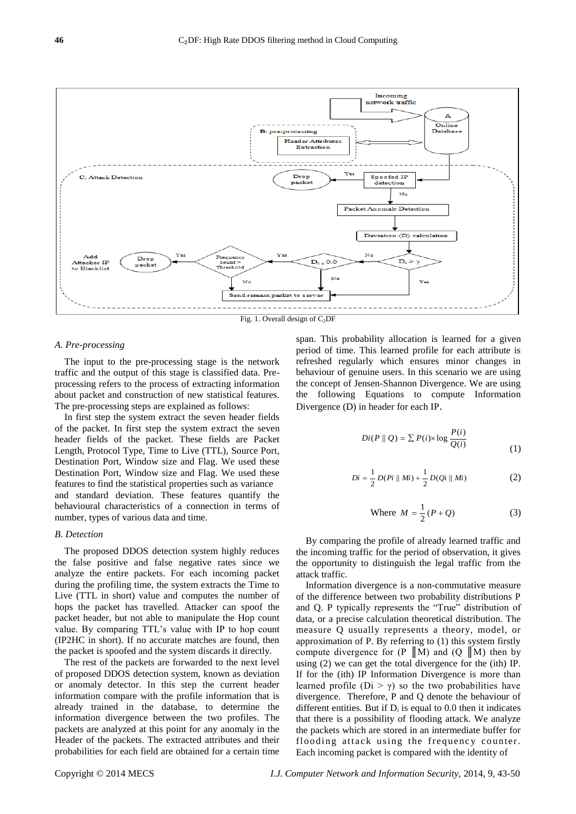

#### *A. Pre-processing*

The input to the pre-processing stage is the network traffic and the output of this stage is classified data. Preprocessing refers to the process of extracting information about packet and construction of new statistical features. The pre-processing steps are explained as follows:

In first step the system extract the seven header fields of the packet. In first step the system extract the seven header fields of the packet. These fields are Packet Length, Protocol Type, Time to Live (TTL), Source Port, Destination Port, Window size and Flag. We used these Destination Port, Window size and Flag. We used these features to find the statistical properties such as variance and standard deviation. These features quantify the behavioural characteristics of a connection in terms of number, types of various data and time.

## *B. Detection*

The proposed DDOS detection system highly reduces the false positive and false negative rates since we analyze the entire packets. For each incoming packet during the profiling time, the system extracts the Time to Live (TTL in short) value and computes the number of hops the packet has travelled. Attacker can spoof the packet header, but not able to manipulate the Hop count value. By comparing TTL's value with IP to hop count (IP2HC in short). If no accurate matches are found, then the packet is spoofed and the system discards it directly.

The rest of the packets are forwarded to the next level of proposed DDOS detection system, known as deviation or anomaly detector. In this step the current header information compare with the profile information that is already trained in the database, to determine the information divergence between the two profiles. The packets are analyzed at this point for any anomaly in the Header of the packets. The extracted attributes and their probabilities for each field are obtained for a certain time span. This probability allocation is learned for a given period of time. This learned profile for each attribute is refreshed regularly which ensures minor changes in behaviour of genuine users. In this scenario we are using the concept of Jensen-Shannon Divergence. We are using the following Equations to compute Information Divergence (D) in header for each IP.

$$
Di(P \parallel Q) = \sum P(i) \times \log \frac{P(i)}{Q(i)} \tag{1}
$$

$$
Di = \frac{1}{2} D(Pi \parallel Mi) + \frac{1}{2} D(Qi \parallel Mi)
$$
 (2)

Where 
$$
M = \frac{1}{2}(P+Q)
$$
 (3)

By comparing the profile of already learned traffic and the incoming traffic for the period of observation, it gives the opportunity to distinguish the legal traffic from the attack traffic.

Information divergence is a non-commutative measure of the difference between two probability distributions P and Q. P typically represents the "True" distribution of data, or a precise calculation theoretical distribution. The measure Q usually represents a theory, model, or approximation of P. By referring to (1) this system firstly compute divergence for  $(P \| M)$  and  $(Q \| M)$  then by using (2) we can get the total divergence for the (ith) IP. If for the (ith) IP Information Divergence is more than learned profile ( $Di > \gamma$ ) so the two probabilities have divergence. Therefore, P and Q denote the behaviour of different entities. But if  $D_i$  is equal to 0.0 then it indicates that there is a possibility of flooding attack. We analyze the packets which are stored in an intermediate buffer for flooding attack using the frequency counter. Each incoming packet is compared with the identity of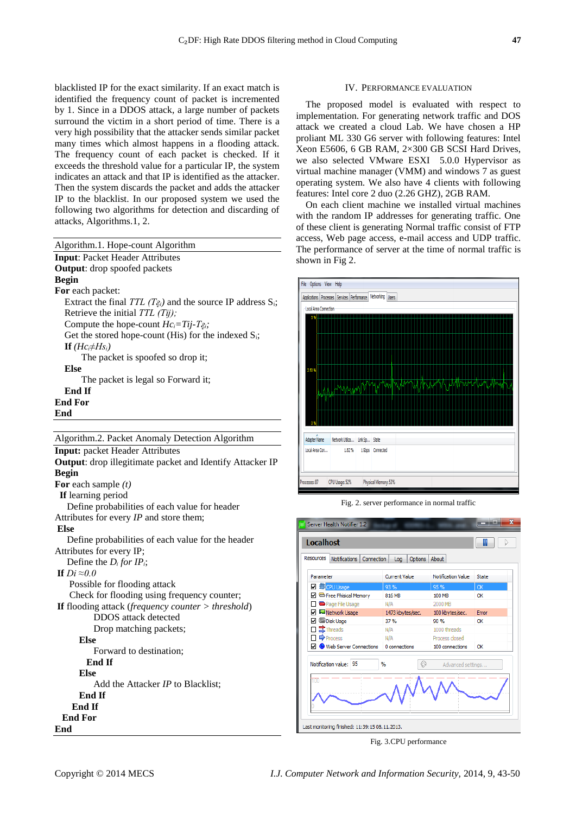blacklisted IP for the exact similarity. If an exact match is identified the frequency count of packet is incremented by 1. Since in a DDOS attack, a large number of packets surround the victim in a short period of time. There is a very high possibility that the attacker sends similar packet many times which almost happens in a flooding attack. The frequency count of each packet is checked. If it exceeds the threshold value for a particular IP, the system indicates an attack and that IP is identified as the attacker. Then the system discards the packet and adds the attacker IP to the blacklist. In our proposed system we used the following two algorithms for detection and discarding of

| Algorithm.1. Hope-count Algorithm                                     |
|-----------------------------------------------------------------------|
| <b>Input: Packet Header Attributes</b>                                |
| <b>Output:</b> drop spoofed packets                                   |
| <b>Begin</b>                                                          |
| <b>For</b> each packet:                                               |
| Extract the final TTL $(T_{\xi_i})$ and the source IP address $S_i$ ; |
| Retrieve the initial $TTL(Tij)$ ;                                     |
| Compute the hope-count $Hc_i = Tij - Tg_i$ ;                          |
| Get the stored hope-count (His) for the indexed $S_i$ ;               |
| If $(Hc_i \neq Hs_i)$                                                 |
| The packet is spoofed so drop it;                                     |
| Else                                                                  |
| The packet is legal so Forward it;                                    |
| End If                                                                |
| <b>End For</b>                                                        |
| End                                                                   |
|                                                                       |
| Algorithm.2. Packet Anomaly Detection Algorithm                       |

attacks, Algorithms.1, 2.

**Input:** packet Header Attributes **Output**: drop illegitimate packet and Identify Attacker IP **Begin For** each sample *(t)*  **If** learning period Define probabilities of each value for header Attributes for every *IP* and store them; **Else** Define probabilities of each value for the header Attributes for every IP; Define the *D<sub>i</sub>* for *IP<sub>i</sub>*; **If** *Di ≈0.0* Possible for flooding attack Check for flooding using frequency counter; **If** flooding attack (*frequency counter > threshold*) DDOS attack detected Drop matching packets;  **Else** Forward to destination;  **End If Else** Add the Attacker *IP* to Blacklist; **End If End If End For End**

## IV. PERFORMANCE EVALUATION

The proposed model is evaluated with respect to implementation. For generating network traffic and DOS attack we created a cloud Lab. We have chosen a HP proliant ML 330 G6 server with following features: Intel Xeon E5606, 6 GB RAM, 2×300 GB SCSI Hard Drives, we also selected VMware ESXI 5.0.0 Hypervisor as virtual machine manager (VMM) and windows 7 as guest operating system. We also have 4 clients with following features: Intel core 2 duo (2.26 GHZ), 2GB RAM.

On each client machine we installed virtual machines with the random IP addresses for generating traffic. One of these client is generating Normal traffic consist of FTP access, Web page access, e-mail access and UDP traffic. The performance of server at the time of normal traffic is shown in Fig 2.



Fig. 2. server performance in normal traffic



Fig. 3.CPU performance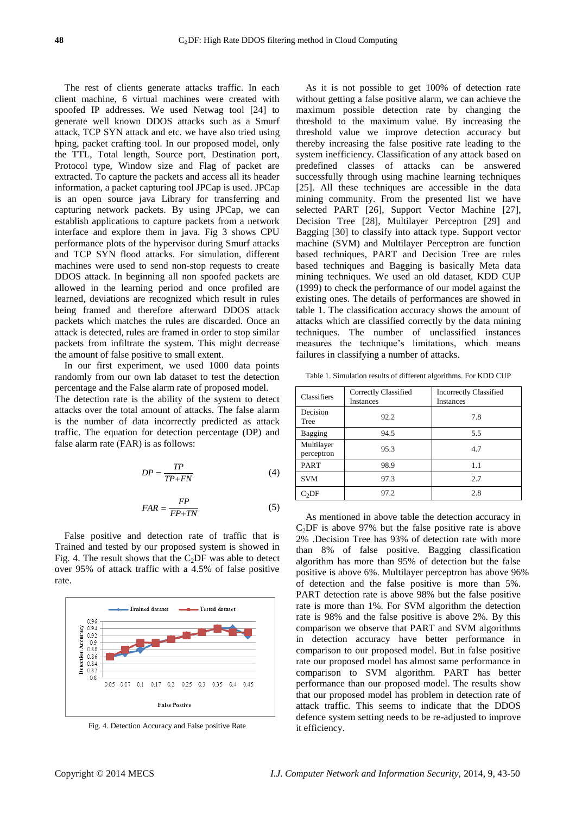The rest of clients generate attacks traffic. In each client machine, 6 virtual machines were created with spoofed IP addresses. We used Netwag tool [24] to generate well known DDOS attacks such as a Smurf attack, TCP SYN attack and etc. we have also tried using hping, packet crafting tool. In our proposed model, only the TTL, Total length, Source port, Destination port, Protocol type, Window size and Flag of packet are extracted. To capture the packets and access all its header information, a packet capturing tool JPCap is used. JPCap is an open source java Library for transferring and capturing network packets. By using JPCap, we can establish applications to capture packets from a network interface and explore them in java. Fig 3 shows CPU performance plots of the hypervisor during Smurf attacks and TCP SYN flood attacks. For simulation, different machines were used to send non-stop requests to create DDOS attack. In beginning all non spoofed packets are allowed in the learning period and once profiled are learned, deviations are recognized which result in rules being framed and therefore afterward DDOS attack packets which matches the rules are discarded. Once an attack is detected, rules are framed in order to stop similar packets from infiltrate the system. This might decrease the amount of false positive to small extent.

In our first experiment, we used 1000 data points randomly from our own lab dataset to test the detection percentage and the False alarm rate of proposed model.

The detection rate is the ability of the system to detect attacks over the total amount of attacks. The false alarm is the number of data incorrectly predicted as attack traffic. The equation for detection percentage (DP) and false alarm rate (FAR) is as follows:

$$
DP = \frac{TP}{TP + FN} \tag{4}
$$

$$
FAR = \frac{FP}{FP + TN} \tag{5}
$$

False positive and detection rate of traffic that is Trained and tested by our proposed system is showed in Fig. 4. The result shows that the  $C_2DF$  was able to detect over 95% of attack traffic with a 4.5% of false positive rate.



Fig. 4. Detection Accuracy and False positive Rate

As it is not possible to get 100% of detection rate without getting a false positive alarm, we can achieve the maximum possible detection rate by changing the threshold to the maximum value. By increasing the threshold value we improve detection accuracy but thereby increasing the false positive rate leading to the system inefficiency. Classification of any attack based on predefined classes of attacks can be answered successfully through using machine learning techniques [25]. All these techniques are accessible in the data mining community. From the presented list we have selected PART [26], Support Vector Machine [27], Decision Tree [28], Multilayer Perceptron [29] and Bagging [30] to classify into attack type. Support vector machine (SVM) and Multilayer Perceptron are function based techniques, PART and Decision Tree are rules based techniques and Bagging is basically Meta data mining techniques. We used an old dataset, KDD CUP (1999) to check the performance of our model against the existing ones. The details of performances are showed in table 1. The classification accuracy shows the amount of attacks which are classified correctly by the data mining techniques. The number of unclassified instances measures the technique's limitations, which means failures in classifying a number of attacks.

Table 1. Simulation results of different algorithms. For KDD CUP

| Classifiers              | Correctly Classified<br>Instances | <b>Incorrectly Classified</b><br><b>Instances</b> |
|--------------------------|-----------------------------------|---------------------------------------------------|
| Decision<br>Tree         | 92.2                              | 7.8                                               |
| Bagging                  | 94.5                              | 5.5                                               |
| Multilayer<br>perceptron | 95.3                              | 4.7                                               |
| <b>PART</b>              | 98.9                              | 1.1                                               |
| <b>SVM</b>               | 97.3                              | 2.7                                               |
| C <sub>2</sub> DF        | 97.2                              | 2.8                                               |

As mentioned in above table the detection accuracy in  $C<sub>2</sub>DF$  is above 97% but the false positive rate is above 2% .Decision Tree has 93% of detection rate with more than 8% of false positive. Bagging classification algorithm has more than 95% of detection but the false positive is above 6%. Multilayer perceptron has above 96% of detection and the false positive is more than 5%. PART detection rate is above 98% but the false positive rate is more than 1%. For SVM algorithm the detection rate is 98% and the false positive is above 2%. By this comparison we observe that PART and SVM algorithms in detection accuracy have better performance in comparison to our proposed model. But in false positive rate our proposed model has almost same performance in comparison to SVM algorithm. PART has better performance than our proposed model. The results show that our proposed model has problem in detection rate of attack traffic. This seems to indicate that the DDOS defence system setting needs to be re-adjusted to improve it efficiency.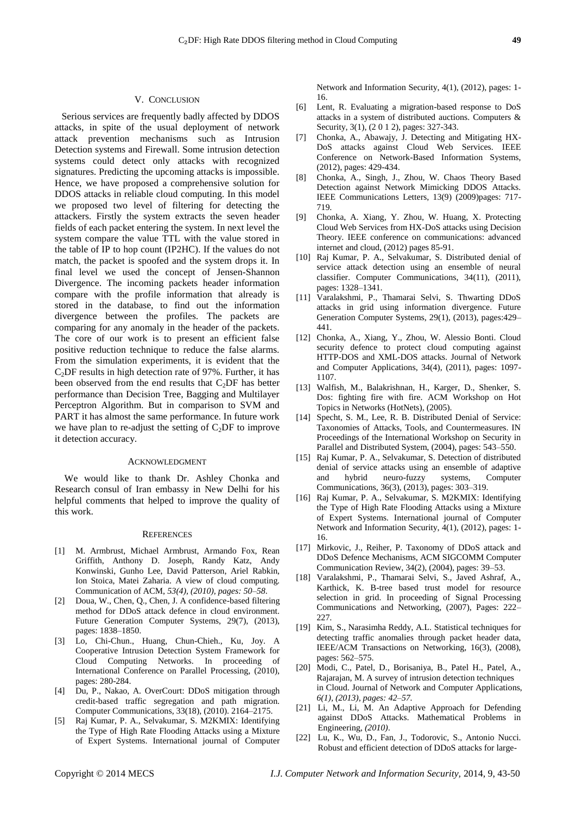## V. CONCLUSION

Serious services are frequently badly affected by DDOS attacks, in spite of the usual deployment of network attack prevention mechanisms such as Intrusion Detection systems and Firewall. Some intrusion detection systems could detect only attacks with recognized signatures. Predicting the upcoming attacks is impossible. Hence, we have proposed a comprehensive solution for DDOS attacks in reliable cloud computing. In this model we proposed two level of filtering for detecting the attackers. Firstly the system extracts the seven header fields of each packet entering the system. In next level the system compare the value TTL with the value stored in the table of IP to hop count (IP2HC). If the values do not match, the packet is spoofed and the system drops it. In final level we used the concept of Jensen-Shannon Divergence. The incoming packets header information compare with the profile information that already is stored in the database, to find out the information divergence between the profiles. The packets are comparing for any anomaly in the header of the packets. The core of our work is to present an efficient false positive reduction technique to reduce the false alarms. From the simulation experiments, it is evident that the  $C<sub>2</sub>DF$  results in high detection rate of 97%. Further, it has been observed from the end results that  $C_2DF$  has better performance than Decision Tree, Bagging and Multilayer Perceptron Algorithm. But in comparison to SVM and PART it has almost the same performance. In future work we have plan to re-adjust the setting of  $C_2DF$  to improve it detection accuracy.

#### ACKNOWLEDGMENT

We would like to thank Dr. Ashley Chonka and Research consul of Iran embassy in New Delhi for his helpful comments that helped to improve the quality of this work.

#### **REFERENCES**

- [1] M. Armbrust, Michael Armbrust, Armando Fox, Rean Griffith, Anthony D. Joseph, Randy Katz, Andy Konwinski, Gunho Lee, David Patterson, Ariel Rabkin, Ion Stoica, Matei Zaharia. A view of cloud computing. Communication of ACM, *53(4), (2010), pages: 50–58*.
- [2] Doua, W., Chen, Q., Chen, J. A confidence-based filtering method for DDoS attack defence in cloud environment. Future Generation Computer Systems, 29(7), (2013), pages: 1838–1850.
- [3] Lo, Chi-Chun., Huang, Chun-Chieh., Ku, Joy. A Cooperative Intrusion Detection System Framework for Cloud Computing Networks. In proceeding of International Conference on Parallel Processing, (2010), pages: 280-284.
- [4] Du, P., Nakao, A. OverCourt: DDoS mitigation through credit-based traffic segregation and path migration. Computer Communications, 33(18), (2010). 2164–2175.
- [5] Raj Kumar, P. A., Selvakumar, S. M2KMIX: Identifying the Type of High Rate Flooding Attacks using a Mixture of Expert Systems. International journal of Computer

Network and Information Security, 4(1), (2012), pages: 1- 16.

- [6] Lent, R. Evaluating a migration-based response to DoS attacks in a system of distributed auctions. Computers & Security, 3(1), (2 0 1 2), pages: 327-343.
- [7] Chonka, A., Abawajy, J. Detecting and Mitigating HX-DoS attacks against Cloud Web Services. IEEE Conference on Network-Based Information Systems, (2012), pages: 429-434.
- [8] Chonka, A., Singh, J., Zhou, W. Chaos Theory Based Detection against Network Mimicking DDOS Attacks. IEEE Communications Letters, 13(9) (2009)pages: 717- 719.
- [9] Chonka, A. Xiang, Y. Zhou, W. Huang, X. Protecting Cloud Web Services from HX-DoS attacks using Decision Theory. IEEE conference on communications: advanced internet and cloud, (2012) pages 85-91.
- [10] Raj Kumar, P. A., Selvakumar, S. Distributed denial of service attack detection using an ensemble of neural classifier. Computer Communications, 34(11), (2011), pages: 1328–1341.
- [11] Varalakshmi, P., Thamarai Selvi, S. Thwarting DDoS attacks in grid using information divergence. Future Generation Computer Systems, 29(1), (2013), pages:429– 441.
- [12] Chonka, A., Xiang, Y., Zhou, W. Alessio Bonti. Cloud security defence to protect cloud computing against HTTP-DOS and XML-DOS attacks. Journal of Network and Computer Applications, 34(4), (2011), pages: 1097- 1107.
- [13] Walfish, M., Balakrishnan, H., Karger, D., Shenker, S. Dos: fighting fire with fire. ACM Workshop on Hot Topics in Networks (HotNets), (2005).
- [14] Specht, S. M., Lee, R. B. Distributed Denial of Service: Taxonomies of Attacks, Tools, and Countermeasures. IN Proceedings of the International Workshop on Security in Parallel and Distributed System, (2004), pages: 543–550.
- [15] Raj Kumar, P. A., Selvakumar, S. Detection of distributed denial of service attacks using an ensemble of adaptive and hybrid neuro-fuzzy systems, Computer Communications, 36(3), (2013), pages: 303–319.
- [16] Raj Kumar, P. A., Selvakumar, S. M2KMIX: Identifying the Type of High Rate Flooding Attacks using a Mixture of Expert Systems. International journal of Computer Network and Information Security, 4(1), (2012), pages: 1- 16.
- [17] Mirkovic, J., Reiher, P. Taxonomy of DDoS attack and DDoS Defence Mechanisms, ACM SIGCOMM Computer Communication Review, 34(2), (2004), pages: 39–53.
- [18] Varalakshmi, P., Thamarai Selvi, S., Javed Ashraf, A., Karthick, K. B-tree based trust model for resource selection in grid. In proceeding of Signal Processing Communications and Networking, (2007), Pages: 222– 227.
- [19] Kim, S., Narasimha Reddy, A.L. Statistical techniques for detecting traffic anomalies through packet header data, IEEE/ACM Transactions on Networking, 16(3), (2008), pages: 562–575.
- [20] Modi, C., Patel, D., Borisaniya, B., Patel H., Patel, A., Rajarajan, M. A survey of intrusion detection techniques in Cloud. Journal of Network and Computer Applications, *6(1), (2013), pages: 42–57.*
- [21] Li, M., Li, M. An Adaptive Approach for Defending against DDoS Attacks. Mathematical Problems in Engineering, *(2010)*.
- [22] Lu, K., Wu, D., Fan, J., Todorovic, S., Antonio Nucci. Robust and efficient detection of DDoS attacks for large-